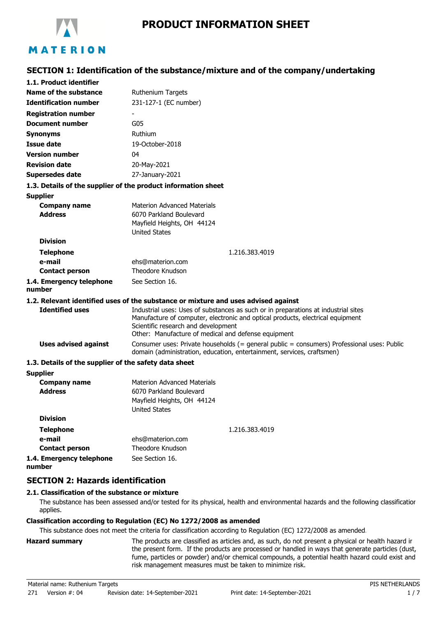

# **SECTION 1: Identification of the substance/mixture and of the company/undertaking**

| 1.1. Product identifier                               |                                                                                                                                                                                                                                                                    |
|-------------------------------------------------------|--------------------------------------------------------------------------------------------------------------------------------------------------------------------------------------------------------------------------------------------------------------------|
| Name of the substance                                 | <b>Ruthenium Targets</b>                                                                                                                                                                                                                                           |
| <b>Identification number</b>                          | 231-127-1 (EC number)                                                                                                                                                                                                                                              |
| <b>Registration number</b>                            |                                                                                                                                                                                                                                                                    |
| <b>Document number</b>                                | G05                                                                                                                                                                                                                                                                |
| <b>Synonyms</b>                                       | Ruthium                                                                                                                                                                                                                                                            |
| <b>Issue date</b>                                     | 19-October-2018                                                                                                                                                                                                                                                    |
| <b>Version number</b>                                 | 04                                                                                                                                                                                                                                                                 |
| <b>Revision date</b>                                  | 20-May-2021                                                                                                                                                                                                                                                        |
| <b>Supersedes date</b>                                | 27-January-2021                                                                                                                                                                                                                                                    |
|                                                       | 1.3. Details of the supplier of the product information sheet                                                                                                                                                                                                      |
| <b>Supplier</b>                                       |                                                                                                                                                                                                                                                                    |
| <b>Company name</b><br><b>Address</b>                 | <b>Materion Advanced Materials</b><br>6070 Parkland Boulevard<br>Mayfield Heights, OH 44124<br><b>United States</b>                                                                                                                                                |
| <b>Division</b>                                       |                                                                                                                                                                                                                                                                    |
| <b>Telephone</b>                                      | 1.216.383.4019                                                                                                                                                                                                                                                     |
| e-mail                                                | ehs@materion.com                                                                                                                                                                                                                                                   |
| <b>Contact person</b>                                 | Theodore Knudson                                                                                                                                                                                                                                                   |
| 1.4. Emergency telephone<br>number                    | See Section 16.                                                                                                                                                                                                                                                    |
|                                                       | 1.2. Relevant identified uses of the substance or mixture and uses advised against                                                                                                                                                                                 |
| <b>Identified uses</b>                                | Industrial uses: Uses of substances as such or in preparations at industrial sites<br>Manufacture of computer, electronic and optical products, electrical equipment<br>Scientific research and development<br>Other: Manufacture of medical and defense equipment |
| <b>Uses advised against</b>                           | Consumer uses: Private households (= general public = consumers) Professional uses: Public<br>domain (administration, education, entertainment, services, craftsmen)                                                                                               |
| 1.3. Details of the supplier of the safety data sheet |                                                                                                                                                                                                                                                                    |
| <b>Supplier</b>                                       |                                                                                                                                                                                                                                                                    |
| <b>Company name</b><br><b>Address</b>                 | <b>Materion Advanced Materials</b><br>6070 Parkland Boulevard<br>Mayfield Heights, OH 44124<br><b>United States</b>                                                                                                                                                |
| <b>Division</b>                                       |                                                                                                                                                                                                                                                                    |
| <b>Telephone</b>                                      | 1.216.383.4019                                                                                                                                                                                                                                                     |
| e-mail                                                | ehs@materion.com                                                                                                                                                                                                                                                   |
| <b>Contact person</b>                                 | Theodore Knudson                                                                                                                                                                                                                                                   |
| 1.4. Emergency telephone<br>number                    | See Section 16.                                                                                                                                                                                                                                                    |

## **SECTION 2: Hazards identification**

### **2.1. Classification of the substance or mixture**

The substance has been assessed and/or tested for its physical, health and environmental hazards and the following classification applies.

#### **Classification according to Regulation (EC) No 1272/2008 as amended**

This substance does not meet the criteria for classification according to Regulation (EC) 1272/2008 as amended.

**Hazard summary** The products are classified as articles and, as such, do not present a physical or health hazard in the present form. If the products are processed or handled in ways that generate particles (dust, fume, particles or powder) and/or chemical compounds, a potential health hazard could exist and risk management measures must be taken to minimize risk.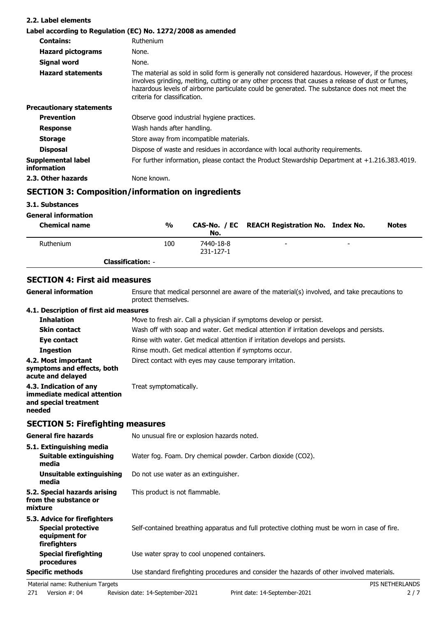| 2.2. Label elements               |                                                                                                                                                                                                                                                                                                                                       |
|-----------------------------------|---------------------------------------------------------------------------------------------------------------------------------------------------------------------------------------------------------------------------------------------------------------------------------------------------------------------------------------|
|                                   | Label according to Regulation (EC) No. 1272/2008 as amended                                                                                                                                                                                                                                                                           |
| <b>Contains:</b>                  | Ruthenium                                                                                                                                                                                                                                                                                                                             |
| <b>Hazard pictograms</b>          | None.                                                                                                                                                                                                                                                                                                                                 |
| Signal word                       | None.                                                                                                                                                                                                                                                                                                                                 |
| <b>Hazard statements</b>          | The material as sold in solid form is generally not considered hazardous. However, if the process<br>involves grinding, melting, cutting or any other process that causes a release of dust or fumes,<br>hazardous levels of airborne particulate could be generated. The substance does not meet the<br>criteria for classification. |
| <b>Precautionary statements</b>   |                                                                                                                                                                                                                                                                                                                                       |
| <b>Prevention</b>                 | Observe good industrial hygiene practices.                                                                                                                                                                                                                                                                                            |
| <b>Response</b>                   | Wash hands after handling.                                                                                                                                                                                                                                                                                                            |
| <b>Storage</b>                    | Store away from incompatible materials.                                                                                                                                                                                                                                                                                               |
| <b>Disposal</b>                   | Dispose of waste and residues in accordance with local authority requirements.                                                                                                                                                                                                                                                        |
| Supplemental label<br>information | For further information, please contact the Product Stewardship Department at $+1.216.383.4019$ .                                                                                                                                                                                                                                     |
| 2.3. Other hazards                | None known.                                                                                                                                                                                                                                                                                                                           |

## **SECTION 3: Composition/information on ingredients**

### **3.1. Substances**

| <b>General information</b> |                          |                        |                                               |   |              |
|----------------------------|--------------------------|------------------------|-----------------------------------------------|---|--------------|
| <b>Chemical name</b>       | %                        | No.                    | CAS-No. / EC REACH Registration No. Index No. |   | <b>Notes</b> |
| Ruthenium                  | 100                      | 7440-18-8<br>231-127-1 | $\overline{\phantom{0}}$                      | - |              |
|                            | <b>Classification: -</b> |                        |                                               |   |              |

### **SECTION 4: First aid measures**

| Ensure that medical personnel are aware of the material(s) involved, and take precautions to<br>protect themselves. |
|---------------------------------------------------------------------------------------------------------------------|
| 4.1. Description of first aid measures                                                                              |
| Move to fresh air. Call a physician if symptoms develop or persist.                                                 |
| Wash off with soap and water. Get medical attention if irritation develops and persists.                            |
| Rinse with water. Get medical attention if irritation develops and persists.                                        |
| Rinse mouth. Get medical attention if symptoms occur.                                                               |
| Direct contact with eyes may cause temporary irritation.                                                            |
| Treat symptomatically.                                                                                              |
|                                                                                                                     |

## **SECTION 5: Firefighting measures**

| <b>General fire hazards</b>                                                                | No unusual fire or explosion hazards noted.                                                   |  |
|--------------------------------------------------------------------------------------------|-----------------------------------------------------------------------------------------------|--|
| 5.1. Extinguishing media<br>Suitable extinguishing<br>media                                | Water fog. Foam. Dry chemical powder. Carbon dioxide (CO2).                                   |  |
| Unsuitable extinguishing<br>media                                                          | Do not use water as an extinguisher.                                                          |  |
| 5.2. Special hazards arising<br>from the substance or<br>mixture                           | This product is not flammable.                                                                |  |
| 5.3. Advice for firefighters<br><b>Special protective</b><br>equipment for<br>firefighters | Self-contained breathing apparatus and full protective clothing must be worn in case of fire. |  |
| <b>Special firefighting</b><br>procedures                                                  | Use water spray to cool unopened containers.                                                  |  |
| <b>Specific methods</b>                                                                    | Use standard firefighting procedures and consider the hazards of other involved materials.    |  |
| Material name: Ruthenium Targets                                                           | PIS NETHERLANDS                                                                               |  |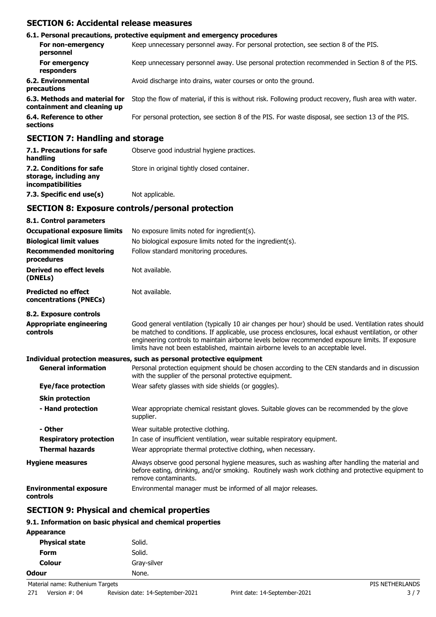## **SECTION 6: Accidental release measures**

|                                                              | 6.1. Personal precautions, protective equipment and emergency procedures                               |
|--------------------------------------------------------------|--------------------------------------------------------------------------------------------------------|
| For non-emergency<br>personnel                               | Keep unnecessary personnel away. For personal protection, see section 8 of the PIS.                    |
| For emergency<br>responders                                  | Keep unnecessary personnel away. Use personal protection recommended in Section 8 of the PIS.          |
| <b>6.2. Environmental</b><br>precautions                     | Avoid discharge into drains, water courses or onto the ground.                                         |
| 6.3. Methods and material for<br>containment and cleaning up | Stop the flow of material, if this is without risk. Following product recovery, flush area with water. |
| 6.4. Reference to other<br>sections                          | For personal protection, see section 8 of the PIS. For waste disposal, see section 13 of the PIS.      |
|                                                              |                                                                                                        |

### **SECTION 7: Handling and storage**

| 7.1. Precautions for safe<br>handling                                          | Observe good industrial hygiene practices.  |
|--------------------------------------------------------------------------------|---------------------------------------------|
| 7.2. Conditions for safe<br>storage, including any<br><i>incompatibilities</i> | Store in original tightly closed container. |
| 7.3. Specific end use(s)                                                       | Not applicable.                             |

### **SECTION 8: Exposure controls/personal protection**

| 8.1. Control parameters                                               |                                                                                                                                                                                                                                                                                                                                                                                                        |  |
|-----------------------------------------------------------------------|--------------------------------------------------------------------------------------------------------------------------------------------------------------------------------------------------------------------------------------------------------------------------------------------------------------------------------------------------------------------------------------------------------|--|
| <b>Occupational exposure limits</b>                                   | No exposure limits noted for ingredient(s).                                                                                                                                                                                                                                                                                                                                                            |  |
| <b>Biological limit values</b>                                        | No biological exposure limits noted for the ingredient(s).                                                                                                                                                                                                                                                                                                                                             |  |
| <b>Recommended monitoring</b><br>procedures                           | Follow standard monitoring procedures.                                                                                                                                                                                                                                                                                                                                                                 |  |
| Derived no effect levels<br>(DNELs)                                   | Not available.                                                                                                                                                                                                                                                                                                                                                                                         |  |
| <b>Predicted no effect</b><br>concentrations (PNECs)                  | Not available.                                                                                                                                                                                                                                                                                                                                                                                         |  |
| 8.2. Exposure controls                                                |                                                                                                                                                                                                                                                                                                                                                                                                        |  |
| <b>Appropriate engineering</b><br>controls                            | Good general ventilation (typically 10 air changes per hour) should be used. Ventilation rates should<br>be matched to conditions. If applicable, use process enclosures, local exhaust ventilation, or other<br>engineering controls to maintain airborne levels below recommended exposure limits. If exposure<br>limits have not been established, maintain airborne levels to an acceptable level. |  |
| Individual protection measures, such as personal protective equipment |                                                                                                                                                                                                                                                                                                                                                                                                        |  |
| <b>General information</b>                                            | Personal protection equipment should be chosen according to the CEN standards and in discussion<br>with the supplier of the personal protective equipment.                                                                                                                                                                                                                                             |  |
| <b>Eye/face protection</b>                                            | Wear safety glasses with side shields (or goggles).                                                                                                                                                                                                                                                                                                                                                    |  |
| <b>Skin protection</b>                                                |                                                                                                                                                                                                                                                                                                                                                                                                        |  |
| - Hand protection                                                     | Wear appropriate chemical resistant gloves. Suitable gloves can be recommended by the glove<br>supplier.                                                                                                                                                                                                                                                                                               |  |
| - Other                                                               | Wear suitable protective clothing.                                                                                                                                                                                                                                                                                                                                                                     |  |
| <b>Respiratory protection</b>                                         | In case of insufficient ventilation, wear suitable respiratory equipment.                                                                                                                                                                                                                                                                                                                              |  |
| <b>Thermal hazards</b>                                                | Wear appropriate thermal protective clothing, when necessary.                                                                                                                                                                                                                                                                                                                                          |  |
| <b>Hygiene measures</b>                                               | Always observe good personal hygiene measures, such as washing after handling the material and<br>before eating, drinking, and/or smoking. Routinely wash work clothing and protective equipment to<br>remove contaminants.                                                                                                                                                                            |  |
| <b>Environmental exposure</b><br>controls                             | Environmental manager must be informed of all major releases.                                                                                                                                                                                                                                                                                                                                          |  |

## **SECTION 9: Physical and chemical properties**

## **9.1. Information on basic physical and chemical properties**

| <b>Appearance</b>                |             |                 |
|----------------------------------|-------------|-----------------|
| <b>Physical state</b>            | Solid.      |                 |
| <b>Form</b>                      | Solid.      |                 |
| <b>Colour</b>                    | Gray-silver |                 |
| <b>Odour</b>                     | None.       |                 |
| Material name: Ruthenium Targets |             | PIS NETHERLANDS |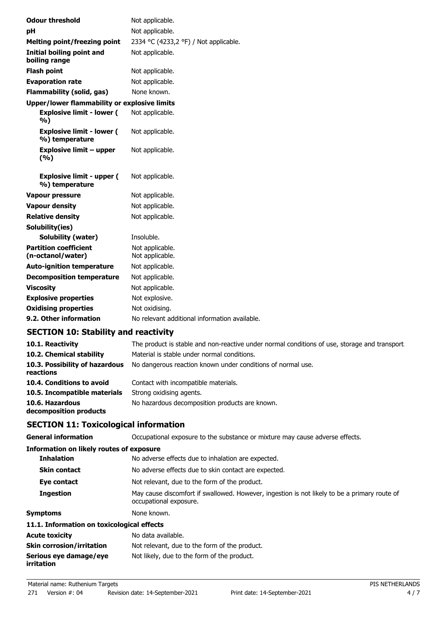| <b>Odour threshold</b>  |                                                     | Not applicable.                               |
|-------------------------|-----------------------------------------------------|-----------------------------------------------|
| pH                      |                                                     | Not applicable.                               |
|                         | <b>Melting point/freezing point</b>                 | 2334 °C (4233,2 °F) / Not applicable.         |
| boiling range           | Initial boiling point and                           | Not applicable.                               |
| <b>Flash point</b>      |                                                     | Not applicable.                               |
|                         | <b>Evaporation rate</b>                             | Not applicable.                               |
|                         | <b>Flammability (solid, gas)</b>                    | None known.                                   |
|                         | <b>Upper/lower flammability or explosive limits</b> |                                               |
| %)                      | <b>Explosive limit - lower (</b>                    | Not applicable.                               |
|                         | <b>Explosive limit - lower (</b><br>%) temperature  | Not applicable.                               |
| (%)                     | Explosive limit – upper                             | Not applicable.                               |
|                         | <b>Explosive limit - upper (</b><br>%) temperature  | Not applicable.                               |
| <b>Vapour pressure</b>  |                                                     | Not applicable.                               |
| <b>Vapour density</b>   |                                                     | Not applicable.                               |
| <b>Relative density</b> |                                                     | Not applicable.                               |
| Solubility(ies)         |                                                     |                                               |
|                         | <b>Solubility (water)</b>                           | Insoluble.                                    |
|                         | <b>Partition coefficient</b><br>(n-octanol/water)   | Not applicable.<br>Not applicable.            |
|                         | <b>Auto-ignition temperature</b>                    | Not applicable.                               |
|                         | <b>Decomposition temperature</b>                    | Not applicable.                               |
| <b>Viscosity</b>        |                                                     | Not applicable.                               |
|                         | <b>Explosive properties</b>                         | Not explosive.                                |
|                         | <b>Oxidising properties</b>                         | Not oxidising.                                |
|                         | 9.2. Other information                              | No relevant additional information available. |
|                         |                                                     |                                               |

## **SECTION 10: Stability and reactivity**

| 10.1. Reactivity                            | The product is stable and non-reactive under normal conditions of use, storage and transport. |
|---------------------------------------------|-----------------------------------------------------------------------------------------------|
| 10.2. Chemical stability                    | Material is stable under normal conditions.                                                   |
| 10.3. Possibility of hazardous<br>reactions | No dangerous reaction known under conditions of normal use.                                   |
| 10.4. Conditions to avoid                   | Contact with incompatible materials.                                                          |
| 10.5. Incompatible materials                | Strong oxidising agents.                                                                      |
| 10.6. Hazardous<br>decomposition products   | No hazardous decomposition products are known.                                                |

# **SECTION 11: Toxicological information**

| <b>General information</b>                      | Occupational exposure to the substance or mixture may cause adverse effects.                                           |  |
|-------------------------------------------------|------------------------------------------------------------------------------------------------------------------------|--|
| <b>Information on likely routes of exposure</b> |                                                                                                                        |  |
| <b>Inhalation</b>                               | No adverse effects due to inhalation are expected.                                                                     |  |
| <b>Skin contact</b>                             | No adverse effects due to skin contact are expected.                                                                   |  |
| Eye contact                                     | Not relevant, due to the form of the product.                                                                          |  |
| <b>Ingestion</b>                                | May cause discomfort if swallowed. However, ingestion is not likely to be a primary route of<br>occupational exposure. |  |
| <b>Symptoms</b>                                 | None known.                                                                                                            |  |
| 11.1. Information on toxicological effects      |                                                                                                                        |  |
| <b>Acute toxicity</b>                           | No data available.                                                                                                     |  |
| <b>Skin corrosion/irritation</b>                | Not relevant, due to the form of the product.                                                                          |  |
| Serious eye damage/eye<br>irritation            | Not likely, due to the form of the product.                                                                            |  |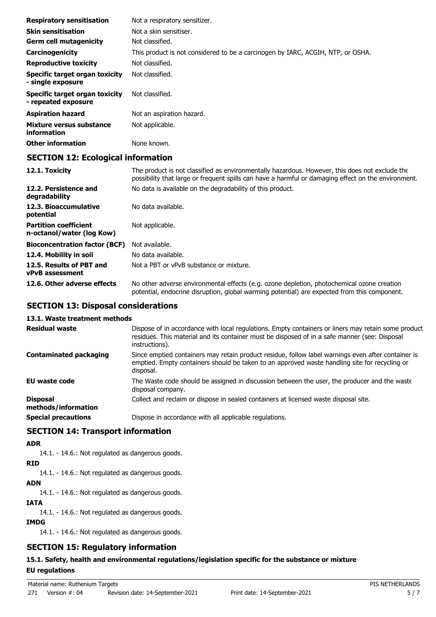| <b>Respiratory sensitisation</b>                      | Not a respiratory sensitizer.                                                   |
|-------------------------------------------------------|---------------------------------------------------------------------------------|
| <b>Skin sensitisation</b>                             | Not a skin sensitiser.                                                          |
| <b>Germ cell mutagenicity</b>                         | Not classified.                                                                 |
| Carcinogenicity                                       | This product is not considered to be a carcinogen by IARC, ACGIH, NTP, or OSHA. |
| <b>Reproductive toxicity</b>                          | Not classified.                                                                 |
| Specific target organ toxicity<br>- single exposure   | Not classified.                                                                 |
| Specific target organ toxicity<br>- repeated exposure | Not classified.                                                                 |
| <b>Aspiration hazard</b>                              | Not an aspiration hazard.                                                       |
| Mixture versus substance<br>information               | Not applicable.                                                                 |
| <b>Other information</b>                              | None known.                                                                     |

## **SECTION 12: Ecological information**

| 12.1. Toxicity                                            | The product is not classified as environmentally hazardous. However, this does not exclude the<br>possibility that large or frequent spills can have a harmful or damaging effect on the environment. |
|-----------------------------------------------------------|-------------------------------------------------------------------------------------------------------------------------------------------------------------------------------------------------------|
| 12.2. Persistence and<br>degradability                    | No data is available on the degradability of this product.                                                                                                                                            |
| 12.3. Bioaccumulative<br>potential                        | No data available.                                                                                                                                                                                    |
| <b>Partition coefficient</b><br>n-octanol/water (log Kow) | Not applicable.                                                                                                                                                                                       |
| <b>Bioconcentration factor (BCF)</b>                      | Not available.                                                                                                                                                                                        |
| 12.4. Mobility in soil                                    | No data available.                                                                                                                                                                                    |
| 12.5. Results of PBT and<br><b>vPvB</b> assessment        | Not a PBT or vPvB substance or mixture.                                                                                                                                                               |
| 12.6. Other adverse effects                               | No other adverse environmental effects (e.g. ozone depletion, photochemical ozone creation<br>potential, endocrine disruption, global warming potential) are expected from this component.            |

### **SECTION 13: Disposal considerations**

### **13.1. Waste treatment methods**

| <b>Residual waste</b>                  | Dispose of in accordance with local regulations. Empty containers or liners may retain some product<br>residues. This material and its container must be disposed of in a safe manner (see: Disposal<br>instructions). |
|----------------------------------------|------------------------------------------------------------------------------------------------------------------------------------------------------------------------------------------------------------------------|
| <b>Contaminated packaging</b>          | Since emptied containers may retain product residue, follow label warnings even after container is<br>emptied. Empty containers should be taken to an approved waste handling site for recycling or<br>disposal.       |
| EU waste code                          | The Waste code should be assigned in discussion between the user, the producer and the waste<br>disposal company.                                                                                                      |
| <b>Disposal</b><br>methods/information | Collect and reclaim or dispose in sealed containers at licensed waste disposal site.                                                                                                                                   |
| <b>Special precautions</b>             | Dispose in accordance with all applicable regulations.                                                                                                                                                                 |

## **SECTION 14: Transport information**

### **ADR**

14.1. - 14.6.: Not regulated as dangerous goods.

### **RID**

14.1. - 14.6.: Not regulated as dangerous goods.

### **ADN**

14.1. - 14.6.: Not regulated as dangerous goods.

#### **IATA**

14.1. - 14.6.: Not regulated as dangerous goods.

### **IMDG**

14.1. - 14.6.: Not regulated as dangerous goods.

## **SECTION 15: Regulatory information**

### **15.1. Safety, health and environmental regulations/legislation specific for the substance or mixture**

### **EU regulations**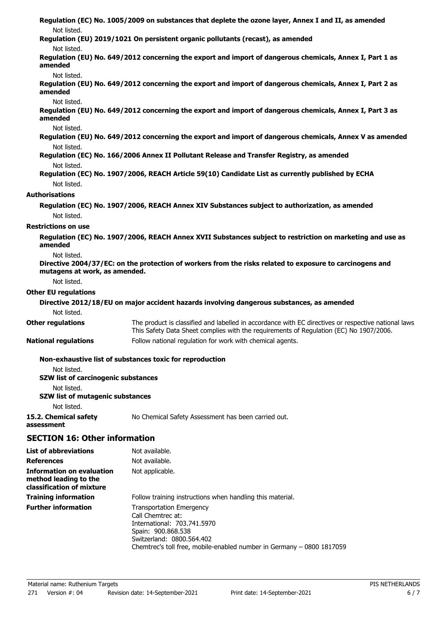| Not listed.                                                                            | Regulation (EC) No. 1005/2009 on substances that deplete the ozone layer, Annex I and II, as amended                                                                                           |
|----------------------------------------------------------------------------------------|------------------------------------------------------------------------------------------------------------------------------------------------------------------------------------------------|
| Not listed.                                                                            | Regulation (EU) 2019/1021 On persistent organic pollutants (recast), as amended                                                                                                                |
| amended                                                                                | Regulation (EU) No. 649/2012 concerning the export and import of dangerous chemicals, Annex I, Part 1 as                                                                                       |
| Not listed.<br>amended                                                                 | Regulation (EU) No. 649/2012 concerning the export and import of dangerous chemicals, Annex I, Part 2 as                                                                                       |
| Not listed.<br>amended                                                                 | Regulation (EU) No. 649/2012 concerning the export and import of dangerous chemicals, Annex I, Part 3 as                                                                                       |
| Not listed.                                                                            | Regulation (EU) No. 649/2012 concerning the export and import of dangerous chemicals, Annex V as amended                                                                                       |
| Not listed.                                                                            | Regulation (EC) No. 166/2006 Annex II Pollutant Release and Transfer Registry, as amended                                                                                                      |
| Not listed.<br>Not listed.                                                             | Regulation (EC) No. 1907/2006, REACH Article 59(10) Candidate List as currently published by ECHA                                                                                              |
| <b>Authorisations</b>                                                                  |                                                                                                                                                                                                |
| Not listed.                                                                            | Regulation (EC) No. 1907/2006, REACH Annex XIV Substances subject to authorization, as amended                                                                                                 |
| <b>Restrictions on use</b>                                                             |                                                                                                                                                                                                |
| amended                                                                                | Regulation (EC) No. 1907/2006, REACH Annex XVII Substances subject to restriction on marketing and use as                                                                                      |
| Not listed.                                                                            |                                                                                                                                                                                                |
| mutagens at work, as amended.                                                          | Directive 2004/37/EC: on the protection of workers from the risks related to exposure to carcinogens and                                                                                       |
| Not listed.                                                                            |                                                                                                                                                                                                |
| <b>Other EU regulations</b>                                                            |                                                                                                                                                                                                |
| Not listed.                                                                            | Directive 2012/18/EU on major accident hazards involving dangerous substances, as amended                                                                                                      |
| <b>Other regulations</b>                                                               | The product is classified and labelled in accordance with EC directives or respective national laws.<br>This Safety Data Sheet complies with the requirements of Regulation (EC) No 1907/2006. |
| <b>National regulations</b>                                                            | Follow national regulation for work with chemical agents.                                                                                                                                      |
| Not listed.                                                                            | Non-exhaustive list of substances toxic for reproduction                                                                                                                                       |
| SZW list of carcinogenic substances                                                    |                                                                                                                                                                                                |
| Not listed.<br><b>SZW list of mutagenic substances</b>                                 |                                                                                                                                                                                                |
| Not listed.<br>15.2. Chemical safety<br>assessment                                     | No Chemical Safety Assessment has been carried out.                                                                                                                                            |
| <b>SECTION 16: Other information</b>                                                   |                                                                                                                                                                                                |
|                                                                                        |                                                                                                                                                                                                |
| <b>List of abbreviations</b>                                                           | Not available.                                                                                                                                                                                 |
| <b>References</b>                                                                      | Not available.                                                                                                                                                                                 |
| <b>Information on evaluation</b><br>method leading to the<br>classification of mixture | Not applicable.                                                                                                                                                                                |
| <b>Training information</b>                                                            | Follow training instructions when handling this material.                                                                                                                                      |
| <b>Further information</b>                                                             | <b>Transportation Emergency</b><br>Call Chemtrec at:<br>International: 703.741.5970<br>Spain: 900.868.538<br>Switzerland: 0800.564.402                                                         |

Chemtrec's toll free, mobile-enabled number in Germany – 0800 1817059